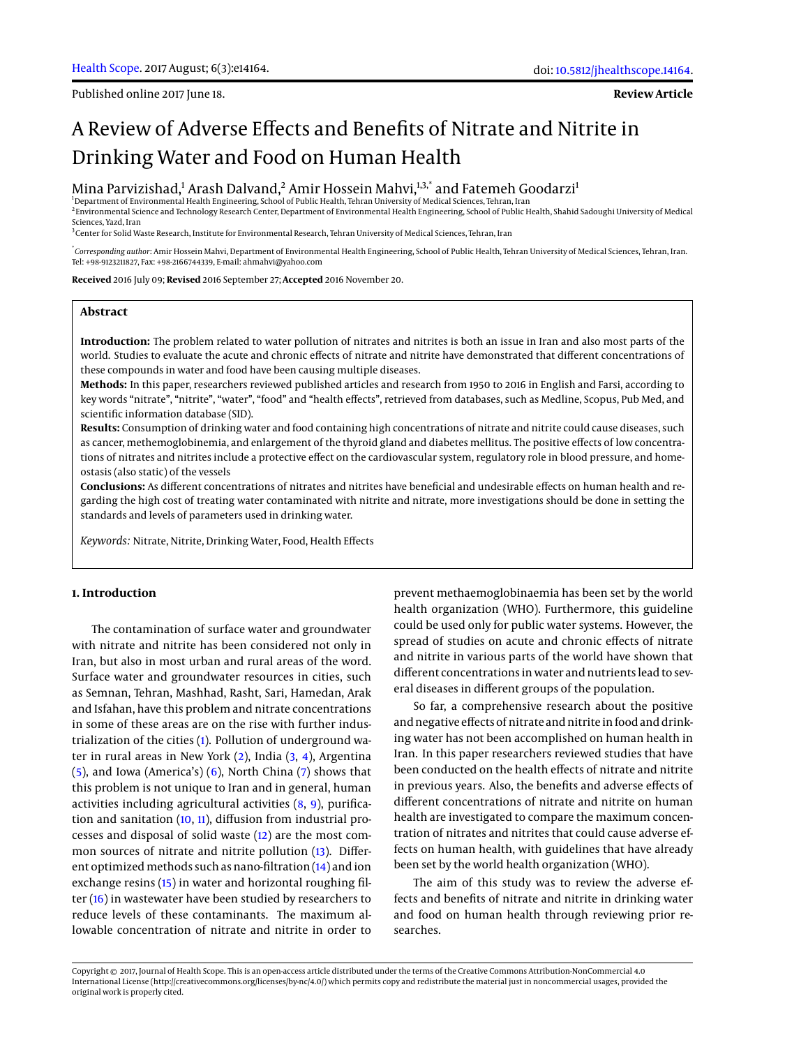Published online 2017 June 18.

**Review Article**

# A Review of Adverse Effects and Benefits of Nitrate and Nitrite in Drinking Water and Food on Human Health

 $\rm{Mina~Parvizishad,^1~Arash~Dalvand,^2~Amir~Hossein~Mahvi,^{13,*}~and~Fatemeh~Goodarzi}^{1}$ 

2 Environmental Science and Technology Research Center, Department of Environmental Health Engineering, School of Public Health, Shahid Sadoughi University of Medical Sciences, Yazd, Iran

<sup>3</sup>Center for Solid Waste Research, Institute for Environmental Research, Tehran University of Medical Sciences, Tehran, Iran

\* *Corresponding author*: Amir Hossein Mahvi, Department of Environmental Health Engineering, School of Public Health, Tehran University of Medical Sciences, Tehran, Iran. Tel: +98-9123211827, Fax: +98-2166744339, E-mail: ahmahvi@yahoo.com

**Received** 2016 July 09; **Revised** 2016 September 27; **Accepted** 2016 November 20.

# **Abstract**

**Introduction:** The problem related to water pollution of nitrates and nitrites is both an issue in Iran and also most parts of the world. Studies to evaluate the acute and chronic effects of nitrate and nitrite have demonstrated that different concentrations of these compounds in water and food have been causing multiple diseases.

**Methods:** In this paper, researchers reviewed published articles and research from 1950 to 2016 in English and Farsi, according to key words "nitrate", "nitrite", "water", "food" and "health effects", retrieved from databases, such as Medline, Scopus, Pub Med, and scientific information database (SID).

**Results:** Consumption of drinking water and food containing high concentrations of nitrate and nitrite could cause diseases, such as cancer, methemoglobinemia, and enlargement of the thyroid gland and diabetes mellitus. The positive effects of low concentrations of nitrates and nitrites include a protective effect on the cardiovascular system, regulatory role in blood pressure, and homeostasis (also static) of the vessels

**Conclusions:** As different concentrations of nitrates and nitrites have beneficial and undesirable effects on human health and regarding the high cost of treating water contaminated with nitrite and nitrate, more investigations should be done in setting the standards and levels of parameters used in drinking water.

*Keywords:* Nitrate, Nitrite, Drinking Water, Food, Health Effects

## **1. Introduction**

The contamination of surface water and groundwater with nitrate and nitrite has been considered not only in Iran, but also in most urban and rural areas of the word. Surface water and groundwater resources in cities, such as Semnan, Tehran, Mashhad, Rasht, Sari, Hamedan, Arak and Isfahan, have this problem and nitrate concentrations in some of these areas are on the rise with further industrialization of the cities [\(1\)](#page-6-0). Pollution of underground water in rural areas in New York [\(2\)](#page-6-1), India [\(3,](#page-6-2) [4\)](#page-6-3), Argentina [\(5\)](#page-6-4), and Iowa (America's) [\(6\)](#page-6-5), North China [\(7\)](#page-6-6) shows that this problem is not unique to Iran and in general, human activities including agricultural activities [\(8,](#page-6-7) [9\)](#page-6-8), purification and sanitation [\(10,](#page-6-9) [11\)](#page-6-10), diffusion from industrial processes and disposal of solid waste [\(12\)](#page-6-11) are the most common sources of nitrate and nitrite pollution [\(13\)](#page-6-12). Different optimized methods such as nano-filtration [\(14\)](#page-6-13) and ion exchange resins [\(15\)](#page-7-0) in water and horizontal roughing filter [\(16\)](#page-7-1) in wastewater have been studied by researchers to reduce levels of these contaminants. The maximum allowable concentration of nitrate and nitrite in order to

prevent methaemoglobinaemia has been set by the world health organization (WHO). Furthermore, this guideline could be used only for public water systems. However, the spread of studies on acute and chronic effects of nitrate and nitrite in various parts of the world have shown that different concentrations in water and nutrients lead to several diseases in different groups of the population.

So far, a comprehensive research about the positive and negative effects of nitrate and nitrite in food and drinking water has not been accomplished on human health in Iran. In this paper researchers reviewed studies that have been conducted on the health effects of nitrate and nitrite in previous years. Also, the benefits and adverse effects of different concentrations of nitrate and nitrite on human health are investigated to compare the maximum concentration of nitrates and nitrites that could cause adverse effects on human health, with guidelines that have already been set by the world health organization (WHO).

The aim of this study was to review the adverse effects and benefits of nitrate and nitrite in drinking water and food on human health through reviewing prior researches.

Copyright © 2017, Journal of Health Scope. This is an open-access article distributed under the terms of the Creative Commons Attribution-NonCommercial 4.0 International License (http://creativecommons.org/licenses/by-nc/4.0/) which permits copy and redistribute the material just in noncommercial usages, provided the original work is properly cited.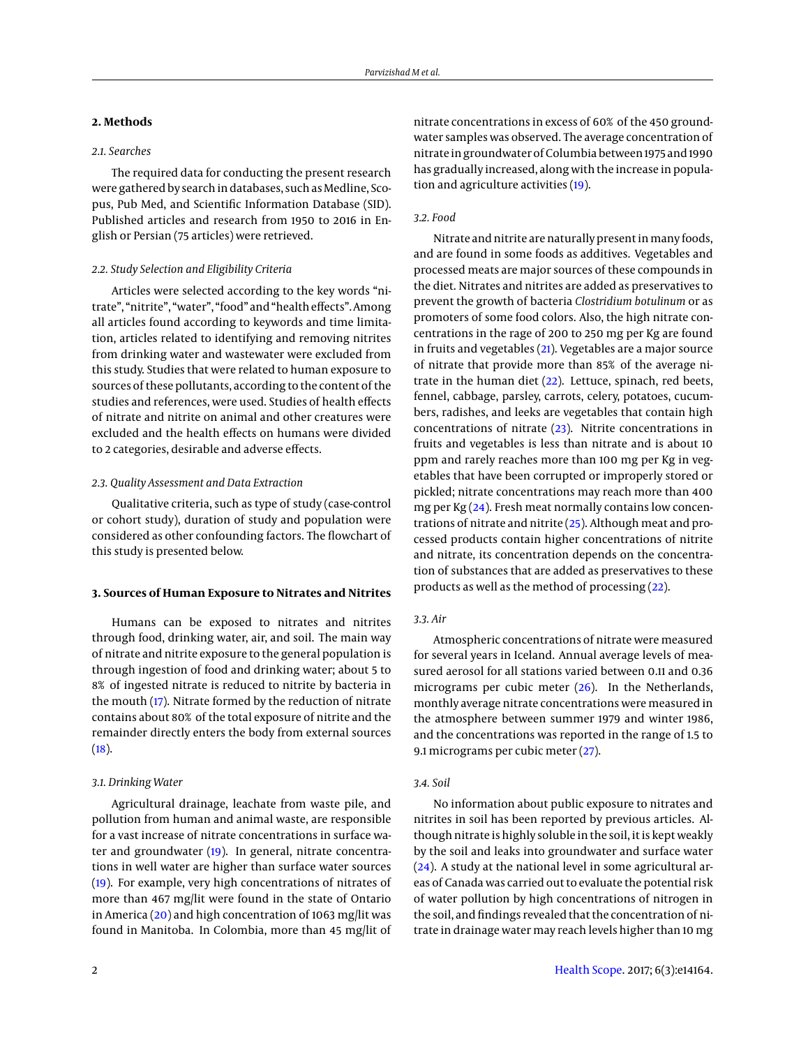# **2. Methods**

# *2.1. Searches*

The required data for conducting the present research were gathered by search in databases, such as Medline, Scopus, Pub Med, and Scientific Information Database (SID). Published articles and research from 1950 to 2016 in English or Persian (75 articles) were retrieved.

## *2.2. Study Selection and Eligibility Criteria*

Articles were selected according to the key words "nitrate", "nitrite", "water", "food" and "health effects". Among all articles found according to keywords and time limitation, articles related to identifying and removing nitrites from drinking water and wastewater were excluded from this study. Studies that were related to human exposure to sources of these pollutants, according to the content of the studies and references, were used. Studies of health effects of nitrate and nitrite on animal and other creatures were excluded and the health effects on humans were divided to 2 categories, desirable and adverse effects.

## *2.3. Quality Assessment and Data Extraction*

Qualitative criteria, such as type of study (case-control or cohort study), duration of study and population were considered as other confounding factors. The flowchart of this study is presented below.

#### **3. Sources of Human Exposure to Nitrates and Nitrites**

Humans can be exposed to nitrates and nitrites through food, drinking water, air, and soil. The main way of nitrate and nitrite exposure to the general population is through ingestion of food and drinking water; about 5 to 8% of ingested nitrate is reduced to nitrite by bacteria in the mouth [\(17\)](#page-7-2). Nitrate formed by the reduction of nitrate contains about 80% of the total exposure of nitrite and the remainder directly enters the body from external sources  $(18).$  $(18).$ 

#### *3.1. Drinking Water*

Agricultural drainage, leachate from waste pile, and pollution from human and animal waste, are responsible for a vast increase of nitrate concentrations in surface water and groundwater [\(19\)](#page-7-4). In general, nitrate concentrations in well water are higher than surface water sources [\(19\)](#page-7-4). For example, very high concentrations of nitrates of more than 467 mg/lit were found in the state of Ontario in America [\(20\)](#page-7-5) and high concentration of 1063 mg/lit was found in Manitoba. In Colombia, more than 45 mg/lit of nitrate concentrations in excess of 60% of the 450 groundwater samples was observed. The average concentration of nitrate in groundwater of Columbia between 1975 and 1990 has gradually increased, along with the increase in population and agriculture activities [\(19\)](#page-7-4).

# *3.2. Food*

Nitrate and nitrite are naturally present in many foods, and are found in some foods as additives. Vegetables and processed meats are major sources of these compounds in the diet. Nitrates and nitrites are added as preservatives to prevent the growth of bacteria *Clostridium botulinum* or as promoters of some food colors. Also, the high nitrate concentrations in the rage of 200 to 250 mg per Kg are found in fruits and vegetables [\(21\)](#page-7-6). Vegetables are a major source of nitrate that provide more than 85% of the average nitrate in the human diet [\(22\)](#page-7-7). Lettuce, spinach, red beets, fennel, cabbage, parsley, carrots, celery, potatoes, cucumbers, radishes, and leeks are vegetables that contain high concentrations of nitrate [\(23\)](#page-7-8). Nitrite concentrations in fruits and vegetables is less than nitrate and is about 10 ppm and rarely reaches more than 100 mg per Kg in vegetables that have been corrupted or improperly stored or pickled; nitrate concentrations may reach more than 400 mg per Kg [\(24\)](#page-7-9). Fresh meat normally contains low concentrations of nitrate and nitrite [\(25\)](#page-7-10). Although meat and processed products contain higher concentrations of nitrite and nitrate, its concentration depends on the concentration of substances that are added as preservatives to these products as well as the method of processing [\(22\)](#page-7-7).

# *3.3. Air*

Atmospheric concentrations of nitrate were measured for several years in Iceland. Annual average levels of measured aerosol for all stations varied between 0.11 and 0.36 micrograms per cubic meter [\(26\)](#page-7-11). In the Netherlands, monthly average nitrate concentrations were measured in the atmosphere between summer 1979 and winter 1986, and the concentrations was reported in the range of 1.5 to 9.1 micrograms per cubic meter [\(27\)](#page-7-12).

#### *3.4. Soil*

No information about public exposure to nitrates and nitrites in soil has been reported by previous articles. Although nitrate is highly soluble in the soil, it is kept weakly by the soil and leaks into groundwater and surface water [\(24\)](#page-7-9). A study at the national level in some agricultural areas of Canada was carried out to evaluate the potential risk of water pollution by high concentrations of nitrogen in the soil, and findings revealed that the concentration of nitrate in drainage water may reach levels higher than 10 mg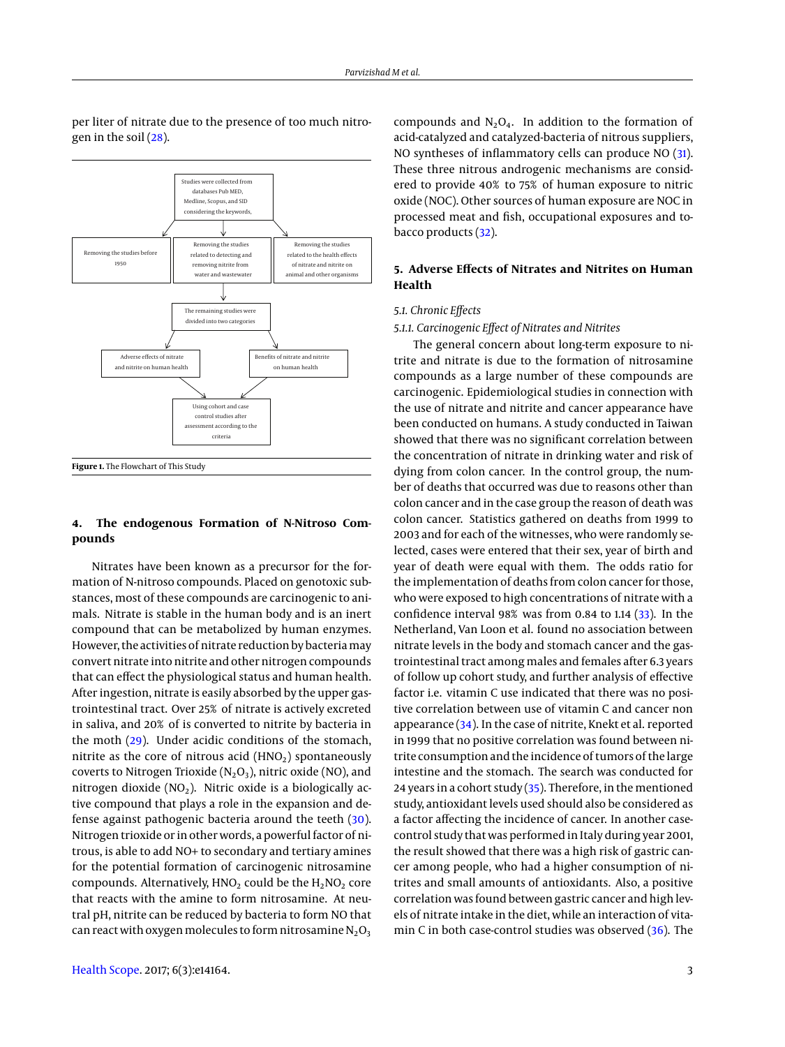

per liter of nitrate due to the presence of too much nitrogen in the soil [\(28\)](#page-7-13).

# **4. The endogenous Formation of N-Nitroso Compounds**

Nitrates have been known as a precursor for the formation of N-nitroso compounds. Placed on genotoxic substances, most of these compounds are carcinogenic to animals. Nitrate is stable in the human body and is an inert compound that can be metabolized by human enzymes. However, the activities of nitrate reduction by bacteria may convert nitrate into nitrite and other nitrogen compounds that can effect the physiological status and human health. After ingestion, nitrate is easily absorbed by the upper gastrointestinal tract. Over 25% of nitrate is actively excreted in saliva, and 20% of is converted to nitrite by bacteria in the moth [\(29\)](#page-7-14). Under acidic conditions of the stomach, nitrite as the core of nitrous acid  $(HNO<sub>2</sub>)$  spontaneously coverts to Nitrogen Trioxide ( $N_2O_3$ ), nitric oxide (NO), and nitrogen dioxide ( $NO<sub>2</sub>$ ). Nitric oxide is a biologically active compound that plays a role in the expansion and defense against pathogenic bacteria around the teeth [\(30\)](#page-7-15). Nitrogen trioxide or in other words, a powerful factor of nitrous, is able to add NO+ to secondary and tertiary amines for the potential formation of carcinogenic nitrosamine compounds. Alternatively,  $HNO<sub>2</sub>$  could be the  $H<sub>2</sub>NO<sub>2</sub>$  core that reacts with the amine to form nitrosamine. At neutral pH, nitrite can be reduced by bacteria to form NO that can react with oxygen molecules to form nitrosamine  $N_2O_3$ 

compounds and  $N_2O_4$ . In addition to the formation of acid-catalyzed and catalyzed-bacteria of nitrous suppliers, NO syntheses of inflammatory cells can produce NO [\(31\)](#page-7-16). These three nitrous androgenic mechanisms are considered to provide 40% to 75% of human exposure to nitric oxide (NOC). Other sources of human exposure are NOC in processed meat and fish, occupational exposures and tobacco products [\(32\)](#page-7-17).

# **5. Adverse Effects of Nitrates and Nitrites on Human Health**

## *5.1. Chronic Effects*

*5.1.1. Carcinogenic Effect of Nitrates and Nitrites*

The general concern about long-term exposure to nitrite and nitrate is due to the formation of nitrosamine compounds as a large number of these compounds are carcinogenic. Epidemiological studies in connection with the use of nitrate and nitrite and cancer appearance have been conducted on humans. A study conducted in Taiwan showed that there was no significant correlation between the concentration of nitrate in drinking water and risk of dying from colon cancer. In the control group, the number of deaths that occurred was due to reasons other than colon cancer and in the case group the reason of death was colon cancer. Statistics gathered on deaths from 1999 to 2003 and for each of the witnesses, who were randomly selected, cases were entered that their sex, year of birth and year of death were equal with them. The odds ratio for the implementation of deaths from colon cancer for those, who were exposed to high concentrations of nitrate with a confidence interval 98% was from 0.84 to 1.14 [\(33\)](#page-7-18). In the Netherland, Van Loon et al. found no association between nitrate levels in the body and stomach cancer and the gastrointestinal tract among males and females after 6.3 years of follow up cohort study, and further analysis of effective factor i.e. vitamin C use indicated that there was no positive correlation between use of vitamin C and cancer non appearance [\(34\)](#page-7-19). In the case of nitrite, Knekt et al. reported in 1999 that no positive correlation was found between nitrite consumption and the incidence of tumors of the large intestine and the stomach. The search was conducted for 24 years in a cohort study  $(35)$ . Therefore, in the mentioned study, antioxidant levels used should also be considered as a factor affecting the incidence of cancer. In another casecontrol study that was performed in Italy during year 2001, the result showed that there was a high risk of gastric cancer among people, who had a higher consumption of nitrites and small amounts of antioxidants. Also, a positive correlation was found between gastric cancer and high levels of nitrate intake in the diet, while an interaction of vitamin C in both case-control studies was observed  $(36)$ . The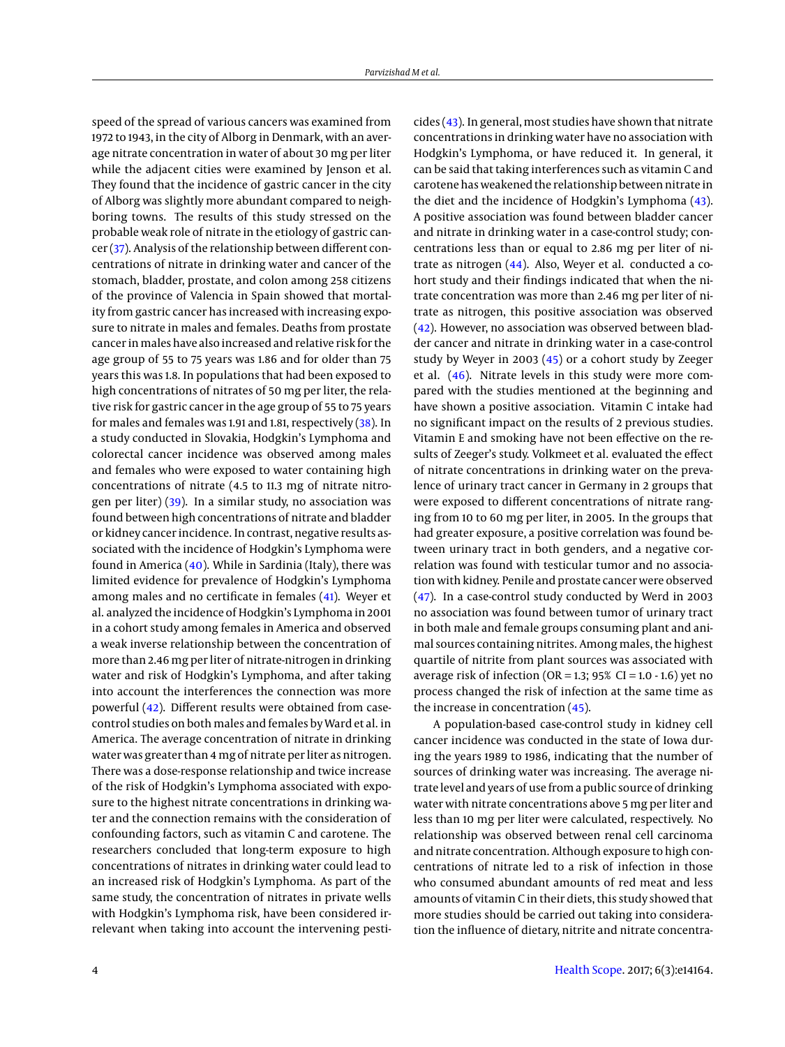speed of the spread of various cancers was examined from 1972 to 1943, in the city of Alborg in Denmark, with an average nitrate concentration in water of about 30 mg per liter while the adjacent cities were examined by Jenson et al. They found that the incidence of gastric cancer in the city of Alborg was slightly more abundant compared to neighboring towns. The results of this study stressed on the probable weak role of nitrate in the etiology of gastric cancer [\(37\)](#page-7-22). Analysis of the relationship between different concentrations of nitrate in drinking water and cancer of the stomach, bladder, prostate, and colon among 258 citizens of the province of Valencia in Spain showed that mortality from gastric cancer has increased with increasing exposure to nitrate in males and females. Deaths from prostate cancer in males have also increased and relative risk for the age group of 55 to 75 years was 1.86 and for older than 75 years this was 1.8. In populations that had been exposed to high concentrations of nitrates of 50 mg per liter, the relative risk for gastric cancer in the age group of 55 to 75 years for males and females was 1.91 and 1.81, respectively [\(38\)](#page-7-23). In a study conducted in Slovakia, Hodgkin's Lymphoma and colorectal cancer incidence was observed among males and females who were exposed to water containing high concentrations of nitrate (4.5 to 11.3 mg of nitrate nitrogen per liter) [\(39\)](#page-7-24). In a similar study, no association was found between high concentrations of nitrate and bladder or kidney cancer incidence. In contrast, negative results associated with the incidence of Hodgkin's Lymphoma were found in America [\(40\)](#page-7-25). While in Sardinia (Italy), there was limited evidence for prevalence of Hodgkin's Lymphoma among males and no certificate in females [\(41\)](#page-7-26). Weyer et al. analyzed the incidence of Hodgkin's Lymphoma in 2001 in a cohort study among females in America and observed a weak inverse relationship between the concentration of more than 2.46 mg per liter of nitrate-nitrogen in drinking water and risk of Hodgkin's Lymphoma, and after taking into account the interferences the connection was more powerful [\(42\)](#page-7-27). Different results were obtained from casecontrol studies on both males and females by Ward et al. in America. The average concentration of nitrate in drinking water was greater than 4 mg of nitrate per liter as nitrogen. There was a dose-response relationship and twice increase of the risk of Hodgkin's Lymphoma associated with exposure to the highest nitrate concentrations in drinking water and the connection remains with the consideration of confounding factors, such as vitamin C and carotene. The researchers concluded that long-term exposure to high concentrations of nitrates in drinking water could lead to an increased risk of Hodgkin's Lymphoma. As part of the same study, the concentration of nitrates in private wells with Hodgkin's Lymphoma risk, have been considered irrelevant when taking into account the intervening pesticides [\(43\)](#page-7-28). In general, most studies have shown that nitrate concentrations in drinking water have no association with Hodgkin's Lymphoma, or have reduced it. In general, it can be said that taking interferences such as vitamin C and carotene has weakened the relationship between nitrate in the diet and the incidence of Hodgkin's Lymphoma [\(43\)](#page-7-28). A positive association was found between bladder cancer and nitrate in drinking water in a case-control study; concentrations less than or equal to 2.86 mg per liter of nitrate as nitrogen [\(44\)](#page-7-29). Also, Weyer et al. conducted a cohort study and their findings indicated that when the nitrate concentration was more than 2.46 mg per liter of nitrate as nitrogen, this positive association was observed [\(42\)](#page-7-27). However, no association was observed between bladder cancer and nitrate in drinking water in a case-control study by Weyer in 2003 [\(45\)](#page-7-30) or a cohort study by Zeeger et al. [\(46\)](#page-7-31). Nitrate levels in this study were more compared with the studies mentioned at the beginning and have shown a positive association. Vitamin C intake had no significant impact on the results of 2 previous studies. Vitamin E and smoking have not been effective on the results of Zeeger's study. Volkmeet et al. evaluated the effect of nitrate concentrations in drinking water on the prevalence of urinary tract cancer in Germany in 2 groups that were exposed to different concentrations of nitrate ranging from 10 to 60 mg per liter, in 2005. In the groups that had greater exposure, a positive correlation was found between urinary tract in both genders, and a negative correlation was found with testicular tumor and no association with kidney. Penile and prostate cancer were observed [\(47\)](#page-7-32). In a case-control study conducted by Werd in 2003 no association was found between tumor of urinary tract in both male and female groups consuming plant and animal sources containing nitrites. Among males, the highest quartile of nitrite from plant sources was associated with average risk of infection (OR = 1.3; 95% CI = 1.0 - 1.6) yet no process changed the risk of infection at the same time as the increase in concentration [\(45\)](#page-7-30).

A population-based case-control study in kidney cell cancer incidence was conducted in the state of Iowa during the years 1989 to 1986, indicating that the number of sources of drinking water was increasing. The average nitrate level and years of use from a public source of drinking water with nitrate concentrations above 5 mg per liter and less than 10 mg per liter were calculated, respectively. No relationship was observed between renal cell carcinoma and nitrate concentration. Although exposure to high concentrations of nitrate led to a risk of infection in those who consumed abundant amounts of red meat and less amounts of vitamin C in their diets, this study showed that more studies should be carried out taking into consideration the influence of dietary, nitrite and nitrate concentra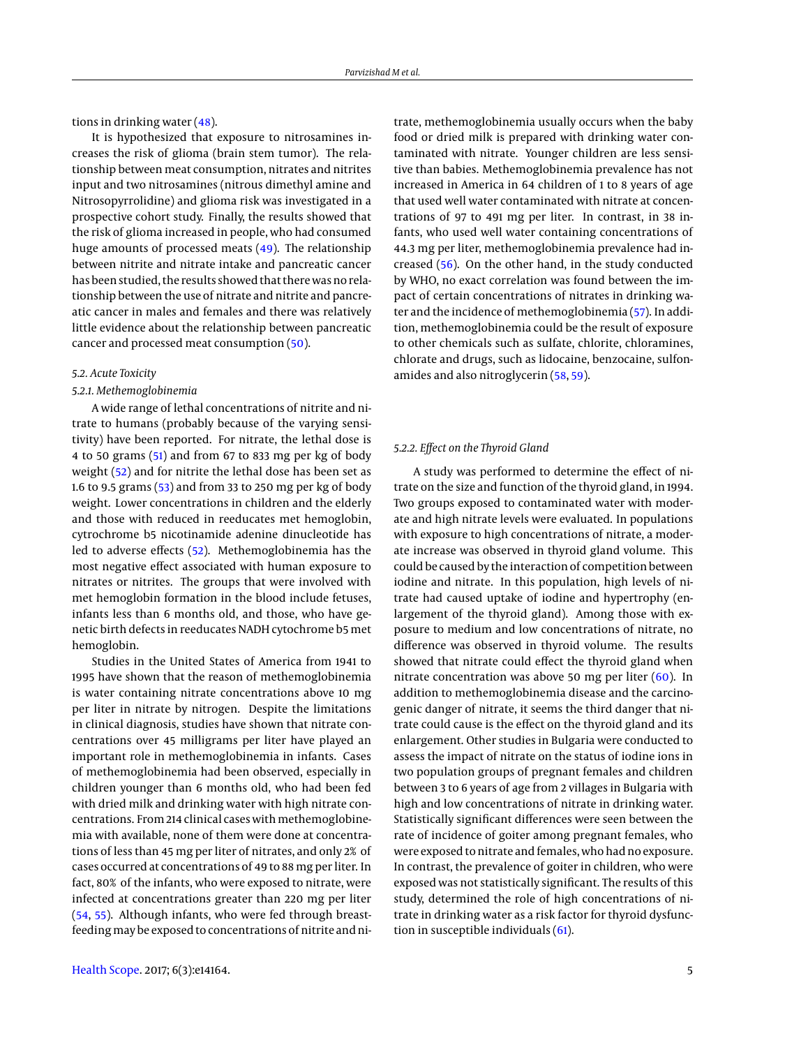tions in drinking water  $(48)$ .

It is hypothesized that exposure to nitrosamines increases the risk of glioma (brain stem tumor). The relationship between meat consumption, nitrates and nitrites input and two nitrosamines (nitrous dimethyl amine and Nitrosopyrrolidine) and glioma risk was investigated in a prospective cohort study. Finally, the results showed that the risk of glioma increased in people, who had consumed huge amounts of processed meats [\(49\)](#page-7-34). The relationship between nitrite and nitrate intake and pancreatic cancer has been studied, the results showed that there was no relationship between the use of nitrate and nitrite and pancreatic cancer in males and females and there was relatively little evidence about the relationship between pancreatic cancer and processed meat consumption [\(50\)](#page-7-35).

### *5.2. Acute Toxicity*

## *5.2.1. Methemoglobinemia*

A wide range of lethal concentrations of nitrite and nitrate to humans (probably because of the varying sensitivity) have been reported. For nitrate, the lethal dose is 4 to 50 grams [\(51\)](#page-8-0) and from 67 to 833 mg per kg of body weight [\(52\)](#page-8-1) and for nitrite the lethal dose has been set as 1.6 to 9.5 grams [\(53\)](#page-8-2) and from 33 to 250 mg per kg of body weight. Lower concentrations in children and the elderly and those with reduced in reeducates met hemoglobin, cytrochrome b5 nicotinamide adenine dinucleotide has led to adverse effects [\(52\)](#page-8-1). Methemoglobinemia has the most negative effect associated with human exposure to nitrates or nitrites. The groups that were involved with met hemoglobin formation in the blood include fetuses, infants less than 6 months old, and those, who have genetic birth defects in reeducates NADH cytochrome b5 met hemoglobin.

Studies in the United States of America from 1941 to 1995 have shown that the reason of methemoglobinemia is water containing nitrate concentrations above 10 mg per liter in nitrate by nitrogen. Despite the limitations in clinical diagnosis, studies have shown that nitrate concentrations over 45 milligrams per liter have played an important role in methemoglobinemia in infants. Cases of methemoglobinemia had been observed, especially in children younger than 6 months old, who had been fed with dried milk and drinking water with high nitrate concentrations. From 214 clinical cases with methemoglobinemia with available, none of them were done at concentrations of less than 45 mg per liter of nitrates, and only 2% of cases occurred at concentrations of 49 to 88 mg per liter. In fact, 80% of the infants, who were exposed to nitrate, were infected at concentrations greater than 220 mg per liter [\(54,](#page-8-3) [55\)](#page-8-4). Although infants, who were fed through breastfeeding may be exposed to concentrations of nitrite and ni-

trate, methemoglobinemia usually occurs when the baby food or dried milk is prepared with drinking water contaminated with nitrate. Younger children are less sensitive than babies. Methemoglobinemia prevalence has not increased in America in 64 children of 1 to 8 years of age that used well water contaminated with nitrate at concentrations of 97 to 491 mg per liter. In contrast, in 38 infants, who used well water containing concentrations of 44.3 mg per liter, methemoglobinemia prevalence had increased [\(56\)](#page-8-5). On the other hand, in the study conducted by WHO, no exact correlation was found between the impact of certain concentrations of nitrates in drinking water and the incidence of methemoglobinemia [\(57\)](#page-8-6). In addition, methemoglobinemia could be the result of exposure to other chemicals such as sulfate, chlorite, chloramines, chlorate and drugs, such as lidocaine, benzocaine, sulfonamides and also nitroglycerin [\(58,](#page-8-7) [59\)](#page-8-8).

#### *5.2.2. Effect on the Thyroid Gland*

A study was performed to determine the effect of nitrate on the size and function of the thyroid gland, in 1994. Two groups exposed to contaminated water with moderate and high nitrate levels were evaluated. In populations with exposure to high concentrations of nitrate, a moderate increase was observed in thyroid gland volume. This could be caused by the interaction of competition between iodine and nitrate. In this population, high levels of nitrate had caused uptake of iodine and hypertrophy (enlargement of the thyroid gland). Among those with exposure to medium and low concentrations of nitrate, no difference was observed in thyroid volume. The results showed that nitrate could effect the thyroid gland when nitrate concentration was above 50 mg per liter [\(60\)](#page-8-9). In addition to methemoglobinemia disease and the carcinogenic danger of nitrate, it seems the third danger that nitrate could cause is the effect on the thyroid gland and its enlargement. Other studies in Bulgaria were conducted to assess the impact of nitrate on the status of iodine ions in two population groups of pregnant females and children between 3 to 6 years of age from 2 villages in Bulgaria with high and low concentrations of nitrate in drinking water. Statistically significant differences were seen between the rate of incidence of goiter among pregnant females, who were exposed to nitrate and females, who had no exposure. In contrast, the prevalence of goiter in children, who were exposed was not statistically significant. The results of this study, determined the role of high concentrations of nitrate in drinking water as a risk factor for thyroid dysfunction in susceptible individuals  $(61)$ .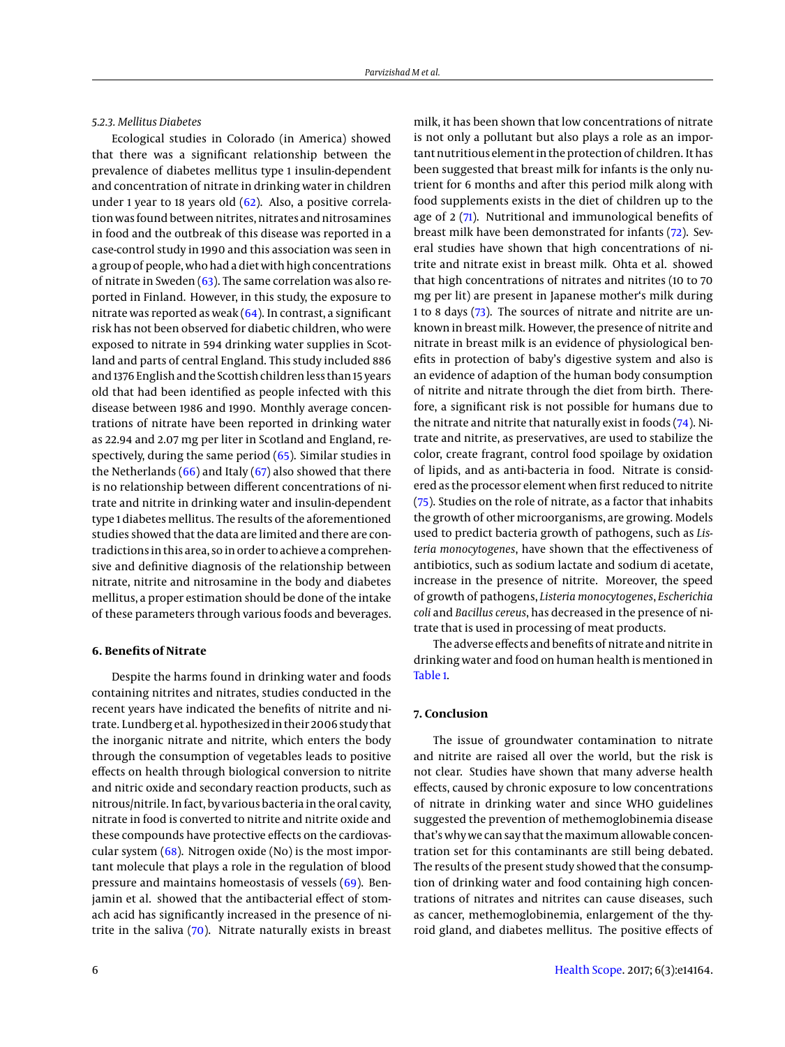## *5.2.3. Mellitus Diabetes*

Ecological studies in Colorado (in America) showed that there was a significant relationship between the prevalence of diabetes mellitus type 1 insulin-dependent and concentration of nitrate in drinking water in children under 1 year to 18 years old [\(62\)](#page-8-11). Also, a positive correlation was found between nitrites, nitrates and nitrosamines in food and the outbreak of this disease was reported in a case-control study in 1990 and this association was seen in a group of people, who had a diet with high concentrations of nitrate in Sweden  $(63)$ . The same correlation was also reported in Finland. However, in this study, the exposure to nitrate was reported as weak  $(64)$ . In contrast, a significant risk has not been observed for diabetic children, who were exposed to nitrate in 594 drinking water supplies in Scotland and parts of central England. This study included 886 and 1376 English and the Scottish children less than 15 years old that had been identified as people infected with this disease between 1986 and 1990. Monthly average concentrations of nitrate have been reported in drinking water as 22.94 and 2.07 mg per liter in Scotland and England, respectively, during the same period [\(65\)](#page-8-14). Similar studies in the Netherlands  $(66)$  and Italy  $(67)$  also showed that there is no relationship between different concentrations of nitrate and nitrite in drinking water and insulin-dependent type 1 diabetes mellitus. The results of the aforementioned studies showed that the data are limited and there are contradictions in this area, so in order to achieve a comprehensive and definitive diagnosis of the relationship between nitrate, nitrite and nitrosamine in the body and diabetes mellitus, a proper estimation should be done of the intake of these parameters through various foods and beverages.

#### **6. Benefits of Nitrate**

Despite the harms found in drinking water and foods containing nitrites and nitrates, studies conducted in the recent years have indicated the benefits of nitrite and nitrate. Lundberg et al. hypothesized in their 2006 study that the inorganic nitrate and nitrite, which enters the body through the consumption of vegetables leads to positive effects on health through biological conversion to nitrite and nitric oxide and secondary reaction products, such as nitrous/nitrile. In fact, by various bacteria in the oral cavity, nitrate in food is converted to nitrite and nitrite oxide and these compounds have protective effects on the cardiovascular system  $(68)$ . Nitrogen oxide (No) is the most important molecule that plays a role in the regulation of blood pressure and maintains homeostasis of vessels [\(69\)](#page-8-18). Benjamin et al. showed that the antibacterial effect of stomach acid has significantly increased in the presence of nitrite in the saliva [\(70\)](#page-8-19). Nitrate naturally exists in breast

is not only a pollutant but also plays a role as an important nutritious element in the protection of children. It has been suggested that breast milk for infants is the only nutrient for 6 months and after this period milk along with food supplements exists in the diet of children up to the age of 2 [\(71\)](#page-8-20). Nutritional and immunological benefits of breast milk have been demonstrated for infants [\(72\)](#page-8-21). Several studies have shown that high concentrations of nitrite and nitrate exist in breast milk. Ohta et al. showed that high concentrations of nitrates and nitrites (10 to 70 mg per lit) are present in Japanese mother's milk during 1 to 8 days [\(73\)](#page-8-22). The sources of nitrate and nitrite are unknown in breast milk. However, the presence of nitrite and nitrate in breast milk is an evidence of physiological benefits in protection of baby's digestive system and also is an evidence of adaption of the human body consumption of nitrite and nitrate through the diet from birth. Therefore, a significant risk is not possible for humans due to the nitrate and nitrite that naturally exist in foods [\(74\)](#page-8-23). Nitrate and nitrite, as preservatives, are used to stabilize the color, create fragrant, control food spoilage by oxidation of lipids, and as anti-bacteria in food. Nitrate is considered as the processor element when first reduced to nitrite [\(75\)](#page-8-24). Studies on the role of nitrate, as a factor that inhabits the growth of other microorganisms, are growing. Models used to predict bacteria growth of pathogens, such as *Listeria monocytogenes*, have shown that the effectiveness of antibiotics, such as sodium lactate and sodium di acetate, increase in the presence of nitrite. Moreover, the speed of growth of pathogens, *Listeria monocytogenes*, *Escherichia coli* and *Bacillus cereus*, has decreased in the presence of nitrate that is used in processing of meat products.

milk, it has been shown that low concentrations of nitrate

The adverse effects and benefits of nitrate and nitrite in drinking water and food on human health is mentioned in [Table 1.](#page-6-14)

#### **7. Conclusion**

The issue of groundwater contamination to nitrate and nitrite are raised all over the world, but the risk is not clear. Studies have shown that many adverse health effects, caused by chronic exposure to low concentrations of nitrate in drinking water and since WHO guidelines suggested the prevention of methemoglobinemia disease that's why we can say that the maximum allowable concentration set for this contaminants are still being debated. The results of the present study showed that the consumption of drinking water and food containing high concentrations of nitrates and nitrites can cause diseases, such as cancer, methemoglobinemia, enlargement of the thyroid gland, and diabetes mellitus. The positive effects of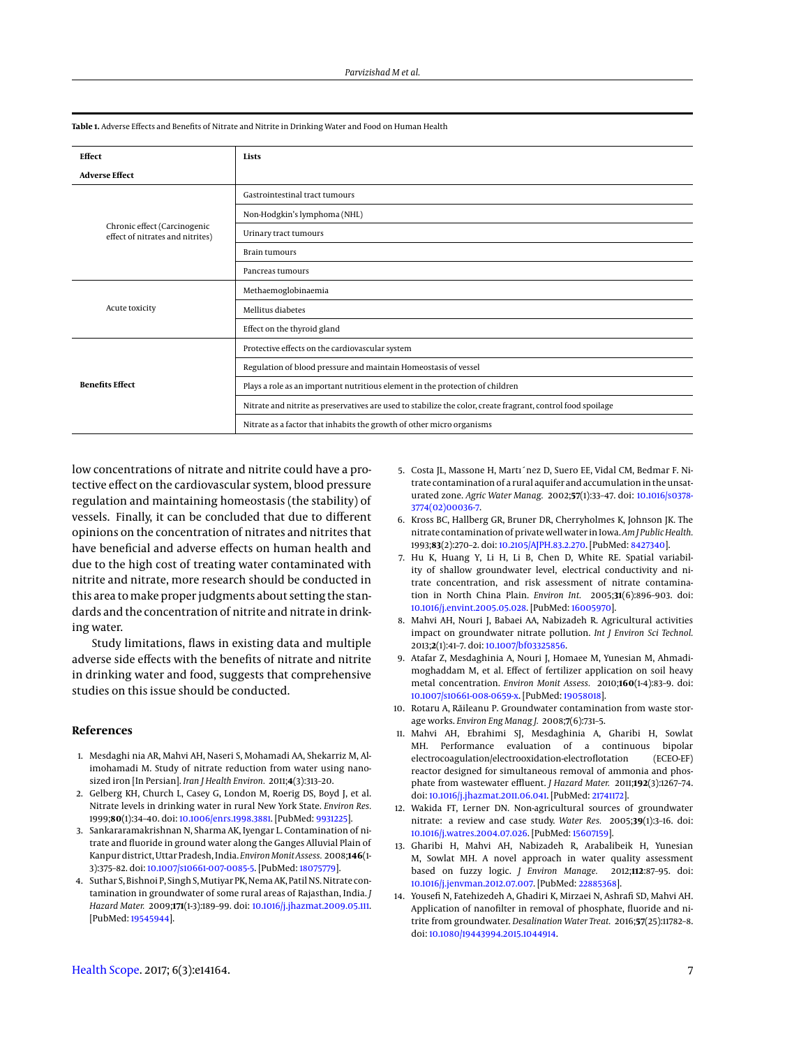| <b>Effect</b>                                                    | Lists                                                                                                        |
|------------------------------------------------------------------|--------------------------------------------------------------------------------------------------------------|
| <b>Adverse Effect</b>                                            |                                                                                                              |
| Chronic effect (Carcinogenic<br>effect of nitrates and nitrites) | Gastrointestinal tract tumours                                                                               |
|                                                                  | Non-Hodgkin's lymphoma (NHL)                                                                                 |
|                                                                  | Urinary tract tumours                                                                                        |
|                                                                  | <b>Brain tumours</b>                                                                                         |
|                                                                  | Pancreas tumours                                                                                             |
| Acute toxicity                                                   | Methaemoglobinaemia                                                                                          |
|                                                                  | Mellitus diabetes                                                                                            |
|                                                                  | Effect on the thyroid gland                                                                                  |
| <b>Benefits Effect</b>                                           | Protective effects on the cardiovascular system                                                              |
|                                                                  | Regulation of blood pressure and maintain Homeostasis of vessel                                              |
|                                                                  | Plays a role as an important nutritious element in the protection of children                                |
|                                                                  | Nitrate and nitrite as preservatives are used to stabilize the color, create fragrant, control food spoilage |
|                                                                  | Nitrate as a factor that inhabits the growth of other micro organisms                                        |

<span id="page-6-14"></span>**Table 1.** Adverse Effects and Benefits of Nitrate and Nitrite in Drinking Water and Food on Human Health

low concentrations of nitrate and nitrite could have a protective effect on the cardiovascular system, blood pressure regulation and maintaining homeostasis (the stability) of vessels. Finally, it can be concluded that due to different opinions on the concentration of nitrates and nitrites that have beneficial and adverse effects on human health and due to the high cost of treating water contaminated with nitrite and nitrate, more research should be conducted in this area to make proper judgments about setting the standards and the concentration of nitrite and nitrate in drinking water.

Study limitations, flaws in existing data and multiple adverse side effects with the benefits of nitrate and nitrite in drinking water and food, suggests that comprehensive studies on this issue should be conducted.

## **References**

- <span id="page-6-0"></span>1. Mesdaghi nia AR, Mahvi AH, Naseri S, Mohamadi AA, Shekarriz M, Alimohamadi M. Study of nitrate reduction from water using nanosized iron [In Persian]. *Iran J Health Environ.* 2011;**4**(3):313–20.
- <span id="page-6-1"></span>2. Gelberg KH, Church L, Casey G, London M, Roerig DS, Boyd J, et al. Nitrate levels in drinking water in rural New York State. *Environ Res.* 1999;**80**(1):34–40. doi: [10.1006/enrs.1998.3881.](http://dx.doi.org/10.1006/enrs.1998.3881) [PubMed: [9931225\]](http://www.ncbi.nlm.nih.gov/pubmed/9931225).
- <span id="page-6-2"></span>3. Sankararamakrishnan N, Sharma AK, Iyengar L. Contamination of nitrate and fluoride in ground water along the Ganges Alluvial Plain of Kanpur district, Uttar Pradesh, India. *Environ Monit Assess.* 2008;**146**(1- 3):375–82. doi: [10.1007/s10661-007-0085-5.](http://dx.doi.org/10.1007/s10661-007-0085-5) [PubMed: [18075779\]](http://www.ncbi.nlm.nih.gov/pubmed/18075779).
- <span id="page-6-3"></span>4. Suthar S, Bishnoi P, Singh S, Mutiyar PK, Nema AK, Patil NS. Nitrate contamination in groundwater of some rural areas of Rajasthan, India. *J Hazard Mater.* 2009;**171**(1-3):189–99. doi: [10.1016/j.jhazmat.2009.05.111.](http://dx.doi.org/10.1016/j.jhazmat.2009.05.111) [PubMed: [19545944\]](http://www.ncbi.nlm.nih.gov/pubmed/19545944).
- <span id="page-6-4"></span>5. Costa JL, Massone H, Martı´nez D, Suero EE, Vidal CM, Bedmar F. Nitrate contamination of a rural aquifer and accumulation in the unsaturated zone. *Agric Water Manag.* 2002;**57**(1):33–47. doi: [10.1016/s0378-](http://dx.doi.org/10.1016/s0378-3774(02)00036-7) [3774\(02\)00036-7.](http://dx.doi.org/10.1016/s0378-3774(02)00036-7)
- <span id="page-6-5"></span>6. Kross BC, Hallberg GR, Bruner DR, Cherryholmes K, Johnson JK. The nitrate contamination of private well water in Iowa.*Am J Public Health.* 1993;**83**(2):270–2. doi: [10.2105/AJPH.83.2.270.](http://dx.doi.org/10.2105/AJPH.83.2.270) [PubMed: [8427340\]](http://www.ncbi.nlm.nih.gov/pubmed/8427340).
- <span id="page-6-6"></span>7. Hu K, Huang Y, Li H, Li B, Chen D, White RE. Spatial variability of shallow groundwater level, electrical conductivity and nitrate concentration, and risk assessment of nitrate contamination in North China Plain. *Environ Int.* 2005;**31**(6):896–903. doi: [10.1016/j.envint.2005.05.028.](http://dx.doi.org/10.1016/j.envint.2005.05.028) [PubMed: [16005970\]](http://www.ncbi.nlm.nih.gov/pubmed/16005970).
- <span id="page-6-7"></span>8. Mahvi AH, Nouri J, Babaei AA, Nabizadeh R. Agricultural activities impact on groundwater nitrate pollution. *Int J Environ Sci Technol.* 2013;**2**(1):41–7. doi: [10.1007/bf03325856.](http://dx.doi.org/10.1007/bf03325856)
- <span id="page-6-8"></span>9. Atafar Z, Mesdaghinia A, Nouri J, Homaee M, Yunesian M, Ahmadimoghaddam M, et al. Effect of fertilizer application on soil heavy metal concentration. *Environ Monit Assess.* 2010;**160**(1-4):83–9. doi: [10.1007/s10661-008-0659-x.](http://dx.doi.org/10.1007/s10661-008-0659-x) [PubMed: [19058018\]](http://www.ncbi.nlm.nih.gov/pubmed/19058018).
- <span id="page-6-9"></span>10. Rotaru A, Răileanu P. Groundwater contamination from waste storage works. *Environ Eng Manag J.* 2008;**7**(6):731–5.
- <span id="page-6-10"></span>11. Mahvi AH, Ebrahimi SJ, Mesdaghinia A, Gharibi H, Sowlat MH. Performance evaluation of a continuous bipolar electrocoagulation/electrooxidation-electroflotation (ECEO-EF) reactor designed for simultaneous removal of ammonia and phosphate from wastewater effluent. *J Hazard Mater.* 2011;**192**(3):1267–74. doi: [10.1016/j.jhazmat.2011.06.041.](http://dx.doi.org/10.1016/j.jhazmat.2011.06.041) [PubMed: [21741172\]](http://www.ncbi.nlm.nih.gov/pubmed/21741172).
- <span id="page-6-11"></span>12. Wakida FT, Lerner DN. Non-agricultural sources of groundwater nitrate: a review and case study. *Water Res.* 2005;**39**(1):3–16. doi: [10.1016/j.watres.2004.07.026.](http://dx.doi.org/10.1016/j.watres.2004.07.026) [PubMed: [15607159\]](http://www.ncbi.nlm.nih.gov/pubmed/15607159).
- <span id="page-6-12"></span>13. Gharibi H, Mahvi AH, Nabizadeh R, Arabalibeik H, Yunesian M, Sowlat MH. A novel approach in water quality assessment based on fuzzy logic. *J Environ Manage.* 2012;**112**:87–95. doi: [10.1016/j.jenvman.2012.07.007.](http://dx.doi.org/10.1016/j.jenvman.2012.07.007) [PubMed: [22885368\]](http://www.ncbi.nlm.nih.gov/pubmed/22885368).
- <span id="page-6-13"></span>14. Yousefi N, Fatehizedeh A, Ghadiri K, Mirzaei N, Ashrafi SD, Mahvi AH. Application of nanofilter in removal of phosphate, fluoride and nitrite from groundwater. *Desalination Water Treat.* 2016;**57**(25):11782–8. doi: [10.1080/19443994.2015.1044914.](http://dx.doi.org/10.1080/19443994.2015.1044914)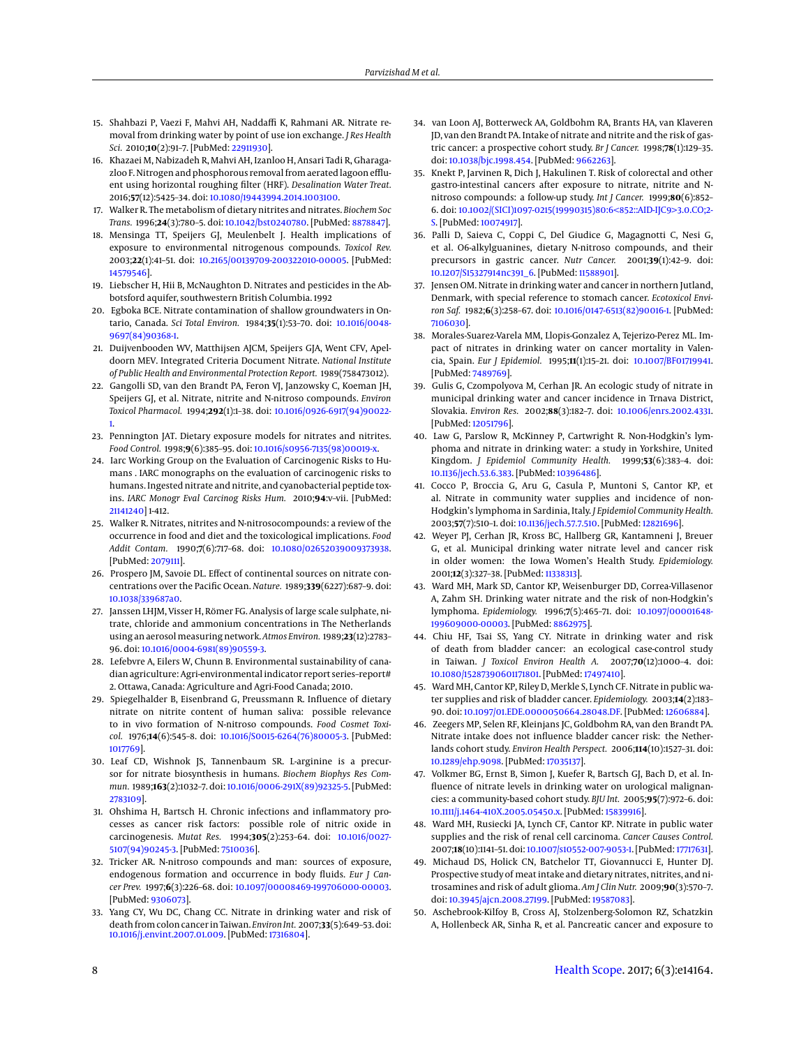- <span id="page-7-0"></span>15. Shahbazi P, Vaezi F, Mahvi AH, Naddaffi K, Rahmani AR. Nitrate removal from drinking water by point of use ion exchange. *J Res Health Sci.* 2010;**10**(2):91–7. [PubMed: [22911930\]](http://www.ncbi.nlm.nih.gov/pubmed/22911930).
- <span id="page-7-1"></span>16. Khazaei M, Nabizadeh R, Mahvi AH, Izanloo H, Ansari Tadi R, Gharagazloo F. Nitrogen and phosphorous removal from aerated lagoon effluent using horizontal roughing filter (HRF). *Desalination Water Treat.* 2016;**57**(12):5425–34. doi: [10.1080/19443994.2014.1003100.](http://dx.doi.org/10.1080/19443994.2014.1003100)
- <span id="page-7-2"></span>17. Walker R. The metabolism of dietary nitrites and nitrates. *Biochem Soc Trans.* 1996;**24**(3):780–5. doi: [10.1042/bst0240780.](http://dx.doi.org/10.1042/bst0240780) [PubMed: [8878847\]](http://www.ncbi.nlm.nih.gov/pubmed/8878847).
- <span id="page-7-3"></span>18. Mensinga TT, Speijers GJ, Meulenbelt J. Health implications of exposure to environmental nitrogenous compounds. *Toxicol Rev.* 2003;**22**(1):41–51. doi: [10.2165/00139709-200322010-00005.](http://dx.doi.org/10.2165/00139709-200322010-00005) [PubMed: [14579546\]](http://www.ncbi.nlm.nih.gov/pubmed/14579546).
- <span id="page-7-4"></span>19. Liebscher H, Hii B, McNaughton D. Nitrates and pesticides in the Abbotsford aquifer, southwestern British Columbia. 1992
- <span id="page-7-5"></span>20. Egboka BCE. Nitrate contamination of shallow groundwaters in Ontario, Canada. *Sci Total Environ.* 1984;**35**(1):53–70. doi: [10.1016/0048-](http://dx.doi.org/10.1016/0048-9697(84)90368-1) [9697\(84\)90368-1.](http://dx.doi.org/10.1016/0048-9697(84)90368-1)
- <span id="page-7-6"></span>21. Duijvenbooden WV, Matthijsen AJCM, Speijers GJA, Went CFV, Apeldoorn MEV. Integrated Criteria Document Nitrate. *National Institute of Public Health and Environmental Protection Report.* 1989(758473012).
- <span id="page-7-7"></span>22. Gangolli SD, van den Brandt PA, Feron VJ, Janzowsky C, Koeman JH, Speijers GJ, et al. Nitrate, nitrite and N-nitroso compounds. *Environ Toxicol Pharmacol.* 1994;**292**(1):1–38. doi: [10.1016/0926-6917\(94\)90022-](http://dx.doi.org/10.1016/0926-6917(94)90022-1) [1.](http://dx.doi.org/10.1016/0926-6917(94)90022-1)
- <span id="page-7-8"></span>23. Pennington JAT. Dietary exposure models for nitrates and nitrites. *Food Control.* 1998;**9**(6):385–95. doi: [10.1016/s0956-7135\(98\)00019-x.](http://dx.doi.org/10.1016/s0956-7135(98)00019-x)
- <span id="page-7-9"></span>24. Iarc Working Group on the Evaluation of Carcinogenic Risks to Humans . IARC monographs on the evaluation of carcinogenic risks to humans. Ingested nitrate and nitrite, and cyanobacterial peptide toxins. *IARC Monogr Eval Carcinog Risks Hum.* 2010;**94**:v–vii. [PubMed: [21141240\]](http://www.ncbi.nlm.nih.gov/pubmed/21141240) 1-412.
- <span id="page-7-10"></span>25. Walker R. Nitrates, nitrites and N-nitrosocompounds: a review of the occurrence in food and diet and the toxicological implications. *Food Addit Contam.* 1990;**7**(6):717–68. doi: [10.1080/02652039009373938.](http://dx.doi.org/10.1080/02652039009373938) [PubMed: [2079111\]](http://www.ncbi.nlm.nih.gov/pubmed/2079111).
- <span id="page-7-11"></span>26. Prospero JM, Savoie DL. Effect of continental sources on nitrate concentrations over the Pacific Ocean. *Nature.* 1989;**339**(6227):687–9. doi: [10.1038/339687a0.](http://dx.doi.org/10.1038/339687a0)
- <span id="page-7-12"></span>27. Janssen LHJM, Visser H, Römer FG. Analysis of large scale sulphate, nitrate, chloride and ammonium concentrations in The Netherlands using an aerosol measuring network. *Atmos Environ.* 1989;**23**(12):2783– 96. doi: [10.1016/0004-6981\(89\)90559-3.](http://dx.doi.org/10.1016/0004-6981(89)90559-3)
- <span id="page-7-13"></span>28. Lefebvre A, Eilers W, Chunn B. Environmental sustainability of canadian agriculture: Agri-environmental indicator report series–report# 2. Ottawa, Canada: Agriculture and Agri-Food Canada; 2010.
- <span id="page-7-14"></span>29. Spiegelhalder B, Eisenbrand G, Preussmann R. Influence of dietary nitrate on nitrite content of human saliva: possible relevance to in vivo formation of N-nitroso compounds. *Food Cosmet Toxicol.* 1976;**14**(6):545–8. doi: [10.1016/S0015-6264\(76\)80005-3.](http://dx.doi.org/10.1016/S0015-6264(76)80005-3) [PubMed: [1017769\]](http://www.ncbi.nlm.nih.gov/pubmed/1017769).
- <span id="page-7-15"></span>30. Leaf CD, Wishnok JS, Tannenbaum SR. L-arginine is a precursor for nitrate biosynthesis in humans. *Biochem Biophys Res Commun.* 1989;**163**(2):1032–7. doi: [10.1016/0006-291X\(89\)92325-5.](http://dx.doi.org/10.1016/0006-291X(89)92325-5) [PubMed: [2783109\]](http://www.ncbi.nlm.nih.gov/pubmed/2783109).
- <span id="page-7-16"></span>31. Ohshima H, Bartsch H. Chronic infections and inflammatory processes as cancer risk factors: possible role of nitric oxide in carcinogenesis. *Mutat Res.* 1994;**305**(2):253–64. doi: [10.1016/0027-](http://dx.doi.org/10.1016/0027-5107(94)90245-3) [5107\(94\)90245-3.](http://dx.doi.org/10.1016/0027-5107(94)90245-3) [PubMed: [7510036\]](http://www.ncbi.nlm.nih.gov/pubmed/7510036).
- <span id="page-7-17"></span>32. Tricker AR. N-nitroso compounds and man: sources of exposure, endogenous formation and occurrence in body fluids. *Eur J Cancer Prev.* 1997;**6**(3):226–68. doi: [10.1097/00008469-199706000-00003.](http://dx.doi.org/10.1097/00008469-199706000-00003) [PubMed: [9306073\]](http://www.ncbi.nlm.nih.gov/pubmed/9306073).
- <span id="page-7-18"></span>33. Yang CY, Wu DC, Chang CC. Nitrate in drinking water and risk of death from colon cancer in Taiwan. *EnvironInt.* 2007;**33**(5):649–53. doi: [10.1016/j.envint.2007.01.009.](http://dx.doi.org/10.1016/j.envint.2007.01.009) [PubMed: [17316804\]](http://www.ncbi.nlm.nih.gov/pubmed/17316804).
- <span id="page-7-19"></span>34. van Loon AJ, Botterweck AA, Goldbohm RA, Brants HA, van Klaveren JD, van den Brandt PA. Intake of nitrate and nitrite and the risk of gastric cancer: a prospective cohort study. *Br J Cancer.* 1998;**78**(1):129–35. doi: [10.1038/bjc.1998.454.](http://dx.doi.org/10.1038/bjc.1998.454) [PubMed: [9662263\]](http://www.ncbi.nlm.nih.gov/pubmed/9662263).
- <span id="page-7-20"></span>35. Knekt P, Jarvinen R, Dich J, Hakulinen T. Risk of colorectal and other gastro-intestinal cancers after exposure to nitrate, nitrite and Nnitroso compounds: a follow-up study. *Int J Cancer.* 1999;**80**(6):852– 6. doi: [10.1002/\(SICI\)1097-0215\(19990315\)80:6<852::AID-IJC9>3.0.CO;2-](http://dx.doi.org/10.1002/(SICI)1097-0215(19990315)80:6<852::AID-IJC9>3.0.CO;2-S) [S.](http://dx.doi.org/10.1002/(SICI)1097-0215(19990315)80:6<852::AID-IJC9>3.0.CO;2-S) [PubMed: [10074917\]](http://www.ncbi.nlm.nih.gov/pubmed/10074917).
- <span id="page-7-21"></span>36. Palli D, Saieva C, Coppi C, Del Giudice G, Magagnotti C, Nesi G, et al. O6-alkylguanines, dietary N-nitroso compounds, and their precursors in gastric cancer. *Nutr Cancer.* 2001;**39**(1):42–9. doi: [10.1207/S15327914nc391\\_6.](http://dx.doi.org/10.1207/S15327914nc391_6) [PubMed: [11588901\]](http://www.ncbi.nlm.nih.gov/pubmed/11588901).
- <span id="page-7-22"></span>37. Jensen OM. Nitrate in drinking water and cancer in northern Jutland, Denmark, with special reference to stomach cancer. *Ecotoxicol Environ Saf.* 1982;**6**(3):258–67. doi: [10.1016/0147-6513\(82\)90016-1.](http://dx.doi.org/10.1016/0147-6513(82)90016-1) [PubMed: [7106030\]](http://www.ncbi.nlm.nih.gov/pubmed/7106030).
- <span id="page-7-23"></span>38. Morales-Suarez-Varela MM, Llopis-Gonzalez A, Tejerizo-Perez ML. Impact of nitrates in drinking water on cancer mortality in Valencia, Spain. *Eur J Epidemiol.* 1995;**11**(1):15–21. doi: [10.1007/BF01719941.](http://dx.doi.org/10.1007/BF01719941) [PubMed: [7489769\]](http://www.ncbi.nlm.nih.gov/pubmed/7489769).
- <span id="page-7-24"></span>39. Gulis G, Czompolyova M, Cerhan JR. An ecologic study of nitrate in municipal drinking water and cancer incidence in Trnava District, Slovakia. *Environ Res.* 2002;**88**(3):182–7. doi: [10.1006/enrs.2002.4331.](http://dx.doi.org/10.1006/enrs.2002.4331) [PubMed: [12051796\]](http://www.ncbi.nlm.nih.gov/pubmed/12051796).
- <span id="page-7-25"></span>40. Law G, Parslow R, McKinney P, Cartwright R. Non-Hodgkin's lymphoma and nitrate in drinking water: a study in Yorkshire, United Kingdom. *J Epidemiol Community Health.* 1999;**53**(6):383–4. doi: [10.1136/jech.53.6.383.](http://dx.doi.org/10.1136/jech.53.6.383) [PubMed: [10396486\]](http://www.ncbi.nlm.nih.gov/pubmed/10396486).
- <span id="page-7-26"></span>41. Cocco P, Broccia G, Aru G, Casula P, Muntoni S, Cantor KP, et al. Nitrate in community water supplies and incidence of non-Hodgkin's lymphoma in Sardinia, Italy. *J Epidemiol Community Health.* 2003;**57**(7):510–1. doi: [10.1136/jech.57.7.510.](http://dx.doi.org/10.1136/jech.57.7.510) [PubMed: [12821696\]](http://www.ncbi.nlm.nih.gov/pubmed/12821696).
- <span id="page-7-27"></span>42. Weyer PJ, Cerhan JR, Kross BC, Hallberg GR, Kantamneni J, Breuer G, et al. Municipal drinking water nitrate level and cancer risk in older women: the Iowa Women's Health Study. *Epidemiology.* 2001;**12**(3):327–38. [PubMed: [11338313\]](http://www.ncbi.nlm.nih.gov/pubmed/11338313).
- <span id="page-7-28"></span>43. Ward MH, Mark SD, Cantor KP, Weisenburger DD, Correa-Villasenor A, Zahm SH. Drinking water nitrate and the risk of non-Hodgkin's lymphoma. *Epidemiology.* 1996;**7**(5):465–71. doi: [10.1097/00001648-](http://dx.doi.org/10.1097/00001648-199609000-00003) [199609000-00003.](http://dx.doi.org/10.1097/00001648-199609000-00003) [PubMed: [8862975\]](http://www.ncbi.nlm.nih.gov/pubmed/8862975).
- <span id="page-7-29"></span>44. Chiu HF, Tsai SS, Yang CY. Nitrate in drinking water and risk of death from bladder cancer: an ecological case-control study in Taiwan. *J Toxicol Environ Health A.* 2007;**70**(12):1000–4. doi: [10.1080/15287390601171801.](http://dx.doi.org/10.1080/15287390601171801) [PubMed: [17497410\]](http://www.ncbi.nlm.nih.gov/pubmed/17497410).
- <span id="page-7-30"></span>45. Ward MH, Cantor KP, Riley D, Merkle S, Lynch CF. Nitrate in public water supplies and risk of bladder cancer. *Epidemiology.* 2003;**14**(2):183– 90. doi: [10.1097/01.EDE.0000050664.28048.DF.](http://dx.doi.org/10.1097/01.EDE.0000050664.28048.DF) [PubMed: [12606884\]](http://www.ncbi.nlm.nih.gov/pubmed/12606884).
- <span id="page-7-31"></span>46. Zeegers MP, Selen RF, Kleinjans JC, Goldbohm RA, van den Brandt PA. Nitrate intake does not influence bladder cancer risk: the Netherlands cohort study. *Environ Health Perspect.* 2006;**114**(10):1527–31. doi: [10.1289/ehp.9098.](http://dx.doi.org/10.1289/ehp.9098) [PubMed: [17035137\]](http://www.ncbi.nlm.nih.gov/pubmed/17035137).
- <span id="page-7-32"></span>47. Volkmer BG, Ernst B, Simon J, Kuefer R, Bartsch GJ, Bach D, et al. Influence of nitrate levels in drinking water on urological malignancies: a community-based cohort study. *BJU Int.* 2005;**95**(7):972–6. doi: [10.1111/j.1464-410X.2005.05450.x.](http://dx.doi.org/10.1111/j.1464-410X.2005.05450.x) [PubMed: [15839916\]](http://www.ncbi.nlm.nih.gov/pubmed/15839916).
- <span id="page-7-33"></span>48. Ward MH, Rusiecki JA, Lynch CF, Cantor KP. Nitrate in public water supplies and the risk of renal cell carcinoma. *Cancer Causes Control.* 2007;**18**(10):1141–51. doi: [10.1007/s10552-007-9053-1.](http://dx.doi.org/10.1007/s10552-007-9053-1) [PubMed: [17717631\]](http://www.ncbi.nlm.nih.gov/pubmed/17717631).
- <span id="page-7-34"></span>49. Michaud DS, Holick CN, Batchelor TT, Giovannucci E, Hunter DJ. Prospective study of meat intake and dietary nitrates, nitrites, and nitrosamines and risk of adult glioma. *Am J Clin Nutr.* 2009;**90**(3):570–7. doi: [10.3945/ajcn.2008.27199.](http://dx.doi.org/10.3945/ajcn.2008.27199) [PubMed: [19587083\]](http://www.ncbi.nlm.nih.gov/pubmed/19587083).
- <span id="page-7-35"></span>50. Aschebrook-Kilfoy B, Cross AJ, Stolzenberg-Solomon RZ, Schatzkin A, Hollenbeck AR, Sinha R, et al. Pancreatic cancer and exposure to